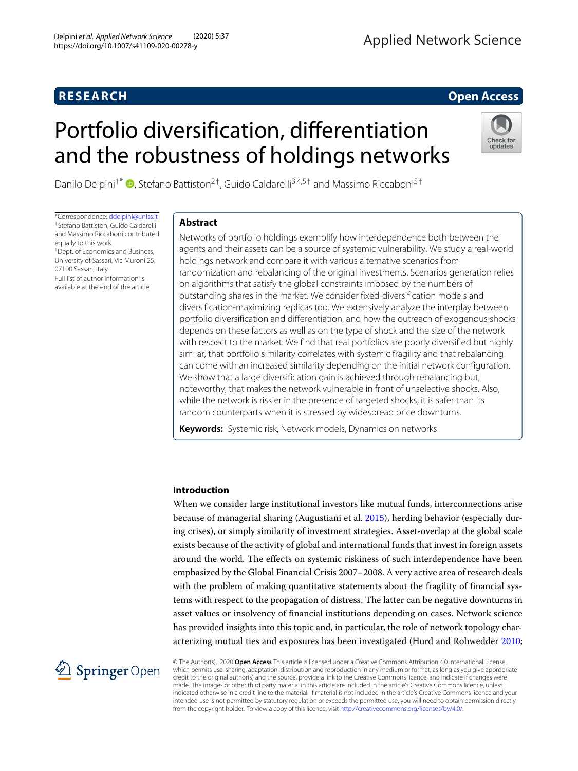## **RESEARCH Open Access**

# Portfolio diversification, differentiation and the robustness of holdings networks



Danilo Delpini<sup>1\*</sup>  $\bullet$ [,](http://orcid.org/0000-0003-3366-720X) Stefano Battiston<sup>2†</sup>, Guido Caldarelli<sup>3,4,5†</sup> and Massimo Riccaboni<sup>5†</sup>

\*Correspondence: [ddelpini@uniss.it](mailto: ddelpini@uniss.it) †Stefano Battiston, Guido Caldarelli and Massimo Riccaboni contributed equally to this work. <sup>1</sup> Dept. of Economics and Business, University of Sassari, Via Muroni 25, 07100 Sassari, Italy

Full list of author information is available at the end of the article

#### **Abstract**

Networks of portfolio holdings exemplify how interdependence both between the agents and their assets can be a source of systemic vulnerability. We study a real-world holdings network and compare it with various alternative scenarios from randomization and rebalancing of the original investments. Scenarios generation relies on algorithms that satisfy the global constraints imposed by the numbers of outstanding shares in the market. We consider fixed-diversification models and diversification-maximizing replicas too. We extensively analyze the interplay between portfolio diversification and differentiation, and how the outreach of exogenous shocks depends on these factors as well as on the type of shock and the size of the network with respect to the market. We find that real portfolios are poorly diversified but highly similar, that portfolio similarity correlates with systemic fragility and that rebalancing can come with an increased similarity depending on the initial network configuration. We show that a large diversification gain is achieved through rebalancing but, noteworthy, that makes the network vulnerable in front of unselective shocks. Also, while the network is riskier in the presence of targeted shocks, it is safer than its random counterparts when it is stressed by widespread price downturns.

**Keywords:** Systemic risk, Network models, Dynamics on networks

### **Introduction**

When we consider large institutional investors like mutual funds, interconnections arise because of managerial sharing (Augustiani et al. [2015\)](#page-19-0), herding behavior (especially during crises), or simply similarity of investment strategies. Asset-overlap at the global scale exists because of the activity of global and international funds that invest in foreign assets around the world. The effects on systemic riskiness of such interdependence have been emphasized by the Global Financial Crisis 2007–2008. A very active area of research deals with the problem of making quantitative statements about the fragility of financial systems with respect to the propagation of distress. The latter can be negative downturns in asset values or insolvency of financial institutions depending on cases. Network science has provided insights into this topic and, in particular, the role of network topology characterizing mutual ties and exposures has been investigated (Hurd and Rohwedder [2010;](#page-19-1)



© The Author(s). 2020 **Open Access** This article is licensed under a Creative Commons Attribution 4.0 International License, which permits use, sharing, adaptation, distribution and reproduction in any medium or format, as long as you give appropriate credit to the original author(s) and the source, provide a link to the Creative Commons licence, and indicate if changes were made. The images or other third party material in this article are included in the article's Creative Commons licence, unless indicated otherwise in a credit line to the material. If material is not included in the article's Creative Commons licence and your intended use is not permitted by statutory regulation or exceeds the permitted use, you will need to obtain permission directly from the copyright holder. To view a copy of this licence, visit [http://creativecommons.org/licenses/by/4.0/.](http://creativecommons.org/licenses/by/4.0/)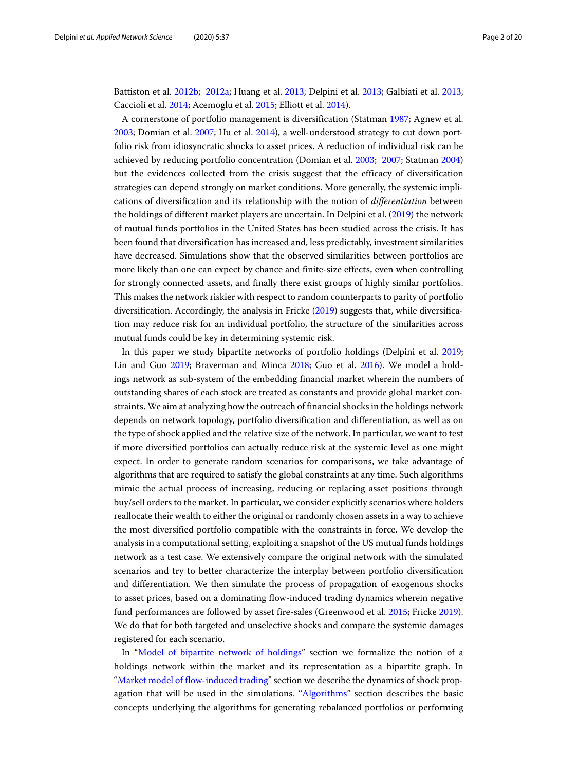Battiston et al. [2012b;](#page-19-2) [2012a;](#page-19-3) Huang et al. [2013;](#page-19-4) Delpini et al. [2013;](#page-19-5) Galbiati et al. [2013;](#page-19-6) Caccioli et al. [2014;](#page-19-7) Acemoglu et al. [2015;](#page-19-8) Elliott et al. [2014\)](#page-19-9).

A cornerstone of portfolio management is diversification (Statman [1987;](#page-19-10) Agnew et al. [2003;](#page-19-11) Domian et al. [2007;](#page-19-12) Hu et al. [2014\)](#page-19-13), a well-understood strategy to cut down portfolio risk from idiosyncratic shocks to asset prices. A reduction of individual risk can be achieved by reducing portfolio concentration (Domian et al. [2003;](#page-19-14) [2007;](#page-19-12) Statman [2004\)](#page-19-15) but the evidences collected from the crisis suggest that the efficacy of diversification strategies can depend strongly on market conditions. More generally, the systemic implications of diversification and its relationship with the notion of *differentiation* between the holdings of different market players are uncertain. In Delpini et al. [\(2019\)](#page-19-16) the network of mutual funds portfolios in the United States has been studied across the crisis. It has been found that diversification has increased and, less predictably, investment similarities have decreased. Simulations show that the observed similarities between portfolios are more likely than one can expect by chance and finite-size effects, even when controlling for strongly connected assets, and finally there exist groups of highly similar portfolios. This makes the network riskier with respect to random counterparts to parity of portfolio diversification. Accordingly, the analysis in Fricke [\(2019\)](#page-19-17) suggests that, while diversification may reduce risk for an individual portfolio, the structure of the similarities across mutual funds could be key in determining systemic risk.

In this paper we study bipartite networks of portfolio holdings (Delpini et al. [2019;](#page-19-16) Lin and Guo [2019;](#page-19-18) Braverman and Minca [2018;](#page-19-19) Guo et al. [2016\)](#page-19-20). We model a holdings network as sub-system of the embedding financial market wherein the numbers of outstanding shares of each stock are treated as constants and provide global market constraints. We aim at analyzing how the outreach of financial shocks in the holdings network depends on network topology, portfolio diversification and differentiation, as well as on the type of shock applied and the relative size of the network. In particular, we want to test if more diversified portfolios can actually reduce risk at the systemic level as one might expect. In order to generate random scenarios for comparisons, we take advantage of algorithms that are required to satisfy the global constraints at any time. Such algorithms mimic the actual process of increasing, reducing or replacing asset positions through buy/sell orders to the market. In particular, we consider explicitly scenarios where holders reallocate their wealth to either the original or randomly chosen assets in a way to achieve the most diversified portfolio compatible with the constraints in force. We develop the analysis in a computational setting, exploiting a snapshot of the US mutual funds holdings network as a test case. We extensively compare the original network with the simulated scenarios and try to better characterize the interplay between portfolio diversification and differentiation. We then simulate the process of propagation of exogenous shocks to asset prices, based on a dominating flow-induced trading dynamics wherein negative fund performances are followed by asset fire-sales (Greenwood et al. [2015;](#page-19-21) Fricke [2019\)](#page-19-17). We do that for both targeted and unselective shocks and compare the systemic damages registered for each scenario.

In ["Model of bipartite network of holdings"](#page-2-0) section we formalize the notion of a holdings network within the market and its representation as a bipartite graph. In ["Market model of flow-induced trading"](#page-3-0) section we describe the dynamics of shock propagation that will be used in the simulations. ["Algorithms"](#page-7-0) section describes the basic concepts underlying the algorithms for generating rebalanced portfolios or performing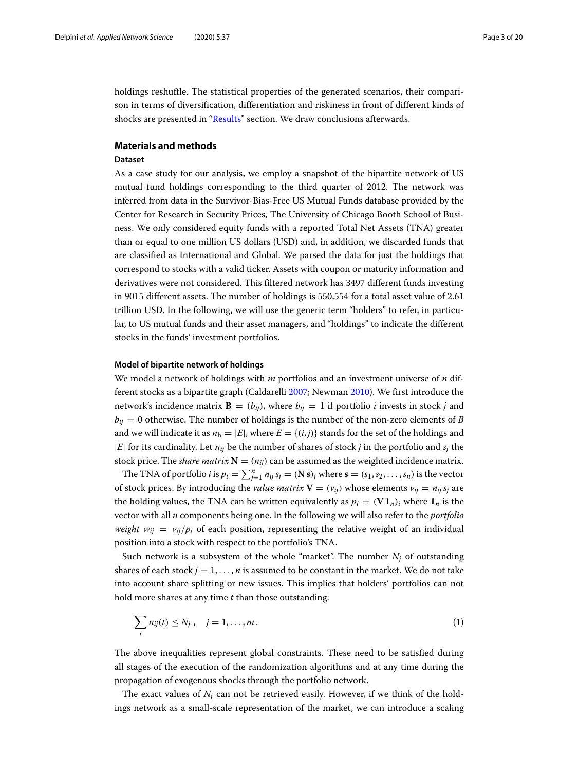holdings reshuffle. The statistical properties of the generated scenarios, their comparison in terms of diversification, differentiation and riskiness in front of different kinds of shocks are presented in ["Results"](#page-9-0) section. We draw conclusions afterwards.

#### **Materials and methods**

#### <span id="page-2-1"></span>**Dataset**

As a case study for our analysis, we employ a snapshot of the bipartite network of US mutual fund holdings corresponding to the third quarter of 2012. The network was inferred from data in the Survivor-Bias-Free US Mutual Funds database provided by the Center for Research in Security Prices, The University of Chicago Booth School of Business. We only considered equity funds with a reported Total Net Assets (TNA) greater than or equal to one million US dollars (USD) and, in addition, we discarded funds that are classified as International and Global. We parsed the data for just the holdings that correspond to stocks with a valid ticker. Assets with coupon or maturity information and derivatives were not considered. This filtered network has 3497 different funds investing in 9015 different assets. The number of holdings is 550,554 for a total asset value of 2.61 trillion USD. In the following, we will use the generic term "holders" to refer, in particular, to US mutual funds and their asset managers, and "holdings" to indicate the different stocks in the funds' investment portfolios.

#### <span id="page-2-0"></span>**Model of bipartite network of holdings**

We model a network of holdings with *m* portfolios and an investment universe of *n* different stocks as a bipartite graph (Caldarelli [2007;](#page-19-22) Newman [2010\)](#page-19-23). We first introduce the network's incidence matrix **B** =  $(b_{ij})$ , where  $b_{ij}$  = 1 if portfolio *i* invests in stock *j* and  $b_{ij}$  = 0 otherwise. The number of holdings is the number of the non-zero elements of *B* and we will indicate it as  $n_h = |E|$ , where  $E = \{(i,j)\}\$  stands for the set of the holdings and  $|E|$  for its cardinality. Let  $n_{ij}$  be the number of shares of stock *j* in the portfolio and  $s_i$  the stock price. The *share matrix*  $\mathbf{N} = (n_{ij})$  can be assumed as the weighted incidence matrix.

The TNA of portfolio *i* is  $p_i = \sum_{j=1}^n n_{ij} s_j = (\mathbf{N} \, \mathbf{s})_i$  where  $\mathbf{s} = (s_1, s_2, \ldots, s_n)$  is the vector of stock prices. By introducing the *value matrix*  $V = (v_{ij})$  whose elements  $v_{ij} = n_{ij} s_j$  are the holding values, the TNA can be written equivalently as  $p_i = (\mathbf{V} \mathbf{1}_n)_i$  where  $\mathbf{1}_n$  is the vector with all *n* components being one. In the following we will also refer to the *portfolio weight*  $w_{ij} = v_{ij}/p_i$  of each position, representing the relative weight of an individual position into a stock with respect to the portfolio's TNA.

Such network is a subsystem of the whole "market". The number  $N_i$  of outstanding shares of each stock  $j = 1, \ldots, n$  is assumed to be constant in the market. We do not take into account share splitting or new issues. This implies that holders' portfolios can not hold more shares at any time *t* than those outstanding:

<span id="page-2-2"></span>
$$
\sum_{i} n_{ij}(t) \le N_j, \quad j = 1, \dots, m. \tag{1}
$$

The above inequalities represent global constraints. These need to be satisfied during all stages of the execution of the randomization algorithms and at any time during the propagation of exogenous shocks through the portfolio network.

The exact values of  $N_i$  can not be retrieved easily. However, if we think of the holdings network as a small-scale representation of the market, we can introduce a scaling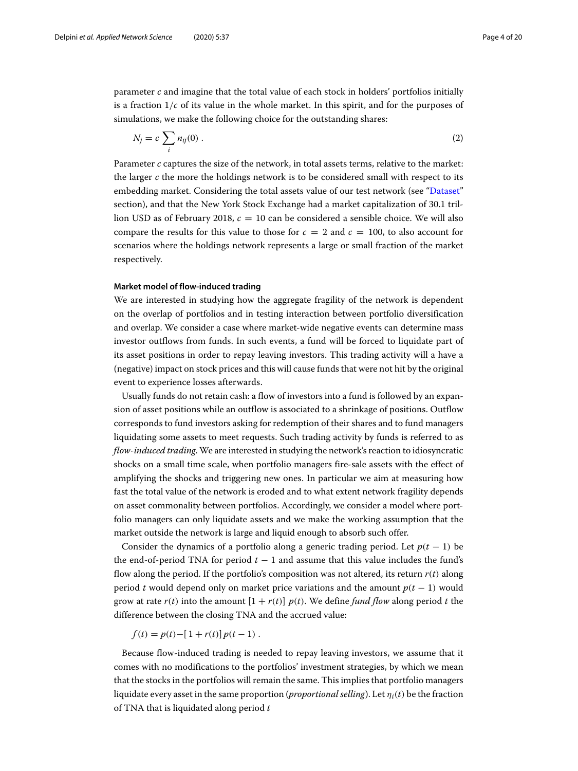parameter *c* and imagine that the total value of each stock in holders' portfolios initially is a fraction 1/*c* of its value in the whole market. In this spirit, and for the purposes of simulations, we make the following choice for the outstanding shares:

<span id="page-3-1"></span>
$$
N_j = c \sum_i n_{ij}(0) . \tag{2}
$$

Parameter *c* captures the size of the network, in total assets terms, relative to the market: the larger *c* the more the holdings network is to be considered small with respect to its embedding market. Considering the total assets value of our test network (see ["Dataset"](#page-2-1) section), and that the New York Stock Exchange had a market capitalization of 30.1 trillion USD as of February 2018, *c* = 10 can be considered a sensible choice. We will also compare the results for this value to those for  $c = 2$  and  $c = 100$ , to also account for scenarios where the holdings network represents a large or small fraction of the market respectively.

#### <span id="page-3-0"></span>**Market model of flow-induced trading**

We are interested in studying how the aggregate fragility of the network is dependent on the overlap of portfolios and in testing interaction between portfolio diversification and overlap. We consider a case where market-wide negative events can determine mass investor outflows from funds. In such events, a fund will be forced to liquidate part of its asset positions in order to repay leaving investors. This trading activity will a have a (negative) impact on stock prices and this will cause funds that were not hit by the original event to experience losses afterwards.

Usually funds do not retain cash: a flow of investors into a fund is followed by an expansion of asset positions while an outflow is associated to a shrinkage of positions. Outflow corresponds to fund investors asking for redemption of their shares and to fund managers liquidating some assets to meet requests. Such trading activity by funds is referred to as *flow-induced trading*. We are interested in studying the network's reaction to idiosyncratic shocks on a small time scale, when portfolio managers fire-sale assets with the effect of amplifying the shocks and triggering new ones. In particular we aim at measuring how fast the total value of the network is eroded and to what extent network fragility depends on asset commonality between portfolios. Accordingly, we consider a model where portfolio managers can only liquidate assets and we make the working assumption that the market outside the network is large and liquid enough to absorb such offer.

Consider the dynamics of a portfolio along a generic trading period. Let  $p(t - 1)$  be the end-of-period TNA for period  $t - 1$  and assume that this value includes the fund's flow along the period. If the portfolio's composition was not altered, its return *r*(*t*) along period *t* would depend only on market price variations and the amount  $p(t - 1)$  would grow at rate  $r(t)$  into the amount  $[1 + r(t)] p(t)$ . We define *fund flow* along period *t* the difference between the closing TNA and the accrued value:

 $f(t) = p(t) - [1 + r(t)] p(t - 1)$ .

Because flow-induced trading is needed to repay leaving investors, we assume that it comes with no modifications to the portfolios' investment strategies, by which we mean that the stocks in the portfolios will remain the same. This implies that portfolio managers liquidate every asset in the same proportion (*proportional selling*). Let  $\eta_i(t)$  be the fraction of TNA that is liquidated along period *t*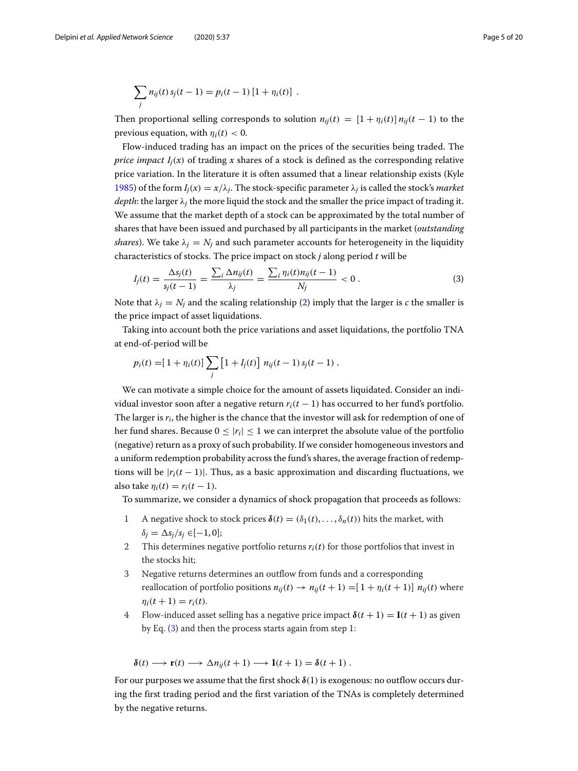$$
\sum_j n_{ij}(t) s_j(t-1) = p_i(t-1) [1 + \eta_i(t)] .
$$

Then proportional selling corresponds to solution  $n_{ii}(t) = [1 + n_i(t)] n_{ii}(t-1)$  to the previous equation, with  $\eta_i(t) < 0$ .

Flow-induced trading has an impact on the prices of the securities being traded. The *price impact*  $I_i(x)$  of trading *x* shares of a stock is defined as the corresponding relative price variation. In the literature it is often assumed that a linear relationship exists (Kyle [1985\)](#page-19-24) of the form  $I_i(x) = x/\lambda_i$ . The stock-specific parameter  $\lambda_i$  is called the stock's *market depth*: the larger  $\lambda_i$  the more liquid the stock and the smaller the price impact of trading it. We assume that the market depth of a stock can be approximated by the total number of shares that have been issued and purchased by all participants in the market (*outstanding shares*). We take  $\lambda_i = N_i$  and such parameter accounts for heterogeneity in the liquidity characteristics of stocks. The price impact on stock *j* along period *t* will be

<span id="page-4-0"></span>
$$
I_j(t) = \frac{\Delta s_j(t)}{s_j(t-1)} = \frac{\sum_i \Delta n_{ij}(t)}{\lambda_j} = \frac{\sum_i \eta_i(t) n_{ij}(t-1)}{N_j} < 0 \,. \tag{3}
$$

Note that  $\lambda_i = N_i$  and the scaling relationship [\(2\)](#page-3-1) imply that the larger is *c* the smaller is the price impact of asset liquidations.

Taking into account both the price variations and asset liquidations, the portfolio TNA at end-of-period will be

$$
p_i(t) = [1 + \eta_i(t)] \sum_j [1 + I_j(t)] \; n_{ij}(t-1) \, s_j(t-1) \; .
$$

We can motivate a simple choice for the amount of assets liquidated. Consider an individual investor soon after a negative return  $r_i(t-1)$  has occurred to her fund's portfolio. The larger is *ri*, the higher is the chance that the investor will ask for redemption of one of her fund shares. Because  $0 < |r_i| < 1$  we can interpret the absolute value of the portfolio (negative) return as a proxy of such probability. If we consider homogeneous investors and a uniform redemption probability across the fund's shares, the average fraction of redemptions will be  $|r_i(t-1)|$ . Thus, as a basic approximation and discarding fluctuations, we also take  $\eta_i(t) = r_i(t-1)$ .

To summarize, we consider a dynamics of shock propagation that proceeds as follows:

- 1 A negative shock to stock prices  $\delta(t) = (\delta_1(t), \ldots, \delta_n(t))$  hits the market, with  $\delta_i = \Delta s_i / s_i \in [-1, 0];$
- 2 This determines negative portfolio returns  $r_i(t)$  for those portfolios that invest in the stocks hit;
- 3 Negative returns determines an outflow from funds and a corresponding reallocation of portfolio positions  $n_{ii}(t) \rightarrow n_{ii}(t+1) = [1 + n_i(t+1)] n_{ii}(t)$  where  $\eta_i(t+1) = r_i(t)$ .
- 4 Flow-induced asset selling has a negative price impact  $\delta(t+1) = I(t+1)$  as given by Eq. [\(3\)](#page-4-0) and then the process starts again from step 1:

$$
\delta(t) \longrightarrow \mathbf{r}(t) \longrightarrow \Delta n_{ij}(t+1) \longrightarrow \mathbf{I}(t+1) = \delta(t+1) .
$$

For our purposes we assume that the first shock *δ*(1) is exogenous: no outflow occurs during the first trading period and the first variation of the TNAs is completely determined by the negative returns.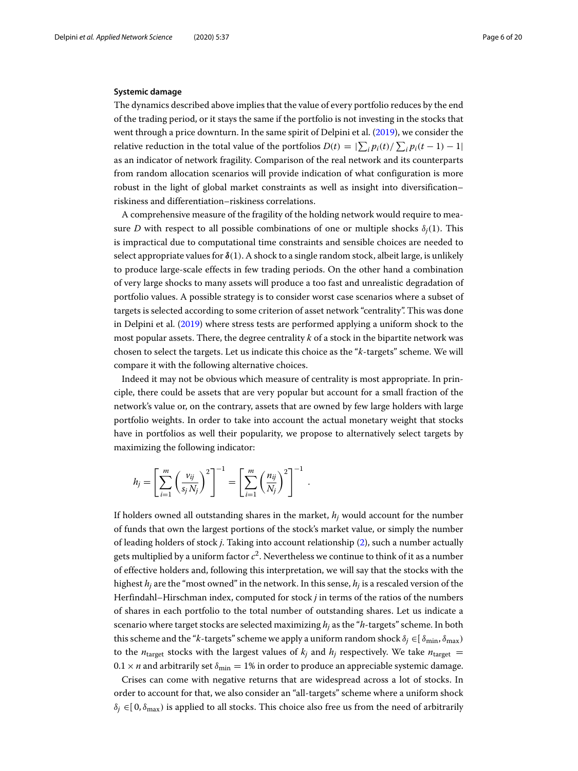#### <span id="page-5-0"></span>**Systemic damage**

The dynamics described above implies that the value of every portfolio reduces by the end of the trading period, or it stays the same if the portfolio is not investing in the stocks that went through a price downturn. In the same spirit of Delpini et al. [\(2019\)](#page-19-16), we consider the relative reduction in the total value of the portfolios  $D(t) = |\sum_i p_i(t) / \sum_i p_i(t-1) - 1|$ as an indicator of network fragility. Comparison of the real network and its counterparts from random allocation scenarios will provide indication of what configuration is more robust in the light of global market constraints as well as insight into diversification– riskiness and differentiation–riskiness correlations.

A comprehensive measure of the fragility of the holding network would require to measure *D* with respect to all possible combinations of one or multiple shocks  $\delta_i(1)$ . This is impractical due to computational time constraints and sensible choices are needed to select appropriate values for  $\delta(1)$ . A shock to a single random stock, albeit large, is unlikely to produce large-scale effects in few trading periods. On the other hand a combination of very large shocks to many assets will produce a too fast and unrealistic degradation of portfolio values. A possible strategy is to consider worst case scenarios where a subset of targets is selected according to some criterion of asset network "centrality". This was done in Delpini et al. [\(2019\)](#page-19-16) where stress tests are performed applying a uniform shock to the most popular assets. There, the degree centrality *k* of a stock in the bipartite network was chosen to select the targets. Let us indicate this choice as the "*k*-targets" scheme. We will compare it with the following alternative choices.

Indeed it may not be obvious which measure of centrality is most appropriate. In principle, there could be assets that are very popular but account for a small fraction of the network's value or, on the contrary, assets that are owned by few large holders with large portfolio weights. In order to take into account the actual monetary weight that stocks have in portfolios as well their popularity, we propose to alternatively select targets by maximizing the following indicator:

.

$$
h_j = \left[\sum_{i=1}^m \left(\frac{v_{ij}}{s_j N_j}\right)^2\right]^{-1} = \left[\sum_{i=1}^m \left(\frac{n_{ij}}{N_j}\right)^2\right]^{-1}
$$

If holders owned all outstanding shares in the market, *hj* would account for the number of funds that own the largest portions of the stock's market value, or simply the number of leading holders of stock *j*. Taking into account relationship [\(2\)](#page-3-1), such a number actually gets multiplied by a uniform factor  $c^2$ . Nevertheless we continue to think of it as a number of effective holders and, following this interpretation, we will say that the stocks with the highest *hj* are the "most owned" in the network. In this sense, *hj* is a rescaled version of the Herfindahl–Hirschman index, computed for stock *j* in terms of the ratios of the numbers of shares in each portfolio to the total number of outstanding shares. Let us indicate a scenario where target stocks are selected maximizing *hj* as the "*h*-targets" scheme. In both this scheme and the "*k*-targets" scheme we apply a uniform random shock  $\delta_j \in [\delta_{\min}, \delta_{\max})$ to the  $n_{\text{target}}$  stocks with the largest values of  $k_j$  and  $h_j$  respectively. We take  $n_{\text{target}} =$  $0.1 \times n$  and arbitrarily set  $\delta_{\text{min}} = 1\%$  in order to produce an appreciable systemic damage.

Crises can come with negative returns that are widespread across a lot of stocks. In order to account for that, we also consider an "all-targets" scheme where a uniform shock  $\delta_i \in [0, \delta_{\text{max}})$  is applied to all stocks. This choice also free us from the need of arbitrarily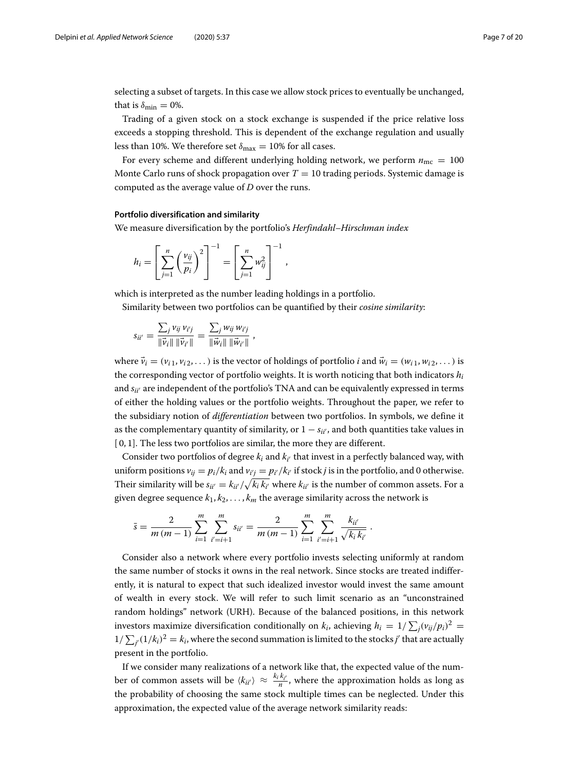selecting a subset of targets. In this case we allow stock prices to eventually be unchanged, that is  $\delta_{\min} = 0\%$ .

Trading of a given stock on a stock exchange is suspended if the price relative loss exceeds a stopping threshold. This is dependent of the exchange regulation and usually less than 10%. We therefore set  $\delta_{\text{max}} = 10\%$  for all cases.

For every scheme and different underlying holding network, we perform  $n_{\text{mc}} = 100$ Monte Carlo runs of shock propagation over  $T = 10$  trading periods. Systemic damage is computed as the average value of *D* over the runs.

,

#### **Portfolio diversification and similarity**

We measure diversification by the portfolio's *Herfindahl–Hirschman index*

$$
h_i = \left[\sum_{j=1}^n \left(\frac{v_{ij}}{p_i}\right)^2\right]^{-1} = \left[\sum_{j=1}^n w_{ij}^2\right]^{-1}
$$

which is interpreted as the number leading holdings in a portfolio. Similarity between two portfolios can be quantified by their *cosine similarity*:

$$
s_{ii'} = \frac{\sum_j v_{ij} v_{i'j}}{\|\vec{v}_i\| \|\vec{v}_{i'}\|} = \frac{\sum_j w_{ij} w_{i'j}}{\|\vec{w}_i\| \|\vec{w}_{i'}\|},
$$

where  $\vec{v}_i = (v_{i1}, v_{i2}, \dots)$  is the vector of holdings of portfolio *i* and  $\vec{w}_i = (w_{i1}, w_{i2}, \dots)$  is the corresponding vector of portfolio weights. It is worth noticing that both indicators  $h_i$ and *s<sub>ii</sub>* are independent of the portfolio's TNA and can be equivalently expressed in terms of either the holding values or the portfolio weights. Throughout the paper, we refer to the subsidiary notion of *differentiation* between two portfolios. In symbols, we define it as the complementary quantity of similarity, or  $1 - s_{ii'}$ , and both quantities take values in [0, 1]. The less two portfolios are similar, the more they are different.

Consider two portfolios of degree  $k_i$  and  $k_{i'}$  that invest in a perfectly balanced way, with uniform positions  $v_{ij} = p_i / k_i$  and  $v_{i'j} = p_{i'} / k_{i'}$  if stock *j* is in the portfolio, and 0 otherwise. Their similarity will be  $s_{ii'} = k_{ii'}/\sqrt{k_i k_{i'}}$  where  $k_{ii'}$  is the number of common assets. For a given degree sequence  $k_1, k_2, \ldots, k_m$  the average similarity across the network is

<span id="page-6-0"></span>.

$$
\bar{s} = \frac{2}{m(m-1)} \sum_{i=1}^{m} \sum_{i'=i+1}^{m} s_{ii'} = \frac{2}{m(m-1)} \sum_{i=1}^{m} \sum_{i'=i+1}^{m} \frac{k_{ii'}}{\sqrt{k_i k_{i'}}}
$$

Consider also a network where every portfolio invests selecting uniformly at random the same number of stocks it owns in the real network. Since stocks are treated indifferently, it is natural to expect that such idealized investor would invest the same amount of wealth in every stock. We will refer to such limit scenario as an "unconstrained random holdings" network (URH). Because of the balanced positions, in this network investors maximize diversification conditionally on  $k_i$ , achieving  $h_i = 1/\sum_j (v_{ij}/p_i)^2 =$  $1/\sum_{j'}(1/k_i)^2=k_i$ , where the second summation is limited to the stocks *j'* that are actually present in the portfolio.

If we consider many realizations of a network like that, the expected value of the number of common assets will be  $\langle k_{ii'}\rangle \approx \frac{k_i k_{i'}}{n}$ , where the approximation holds as long as the probability of choosing the same stock multiple times can be neglected. Under this approximation, the expected value of the average network similarity reads: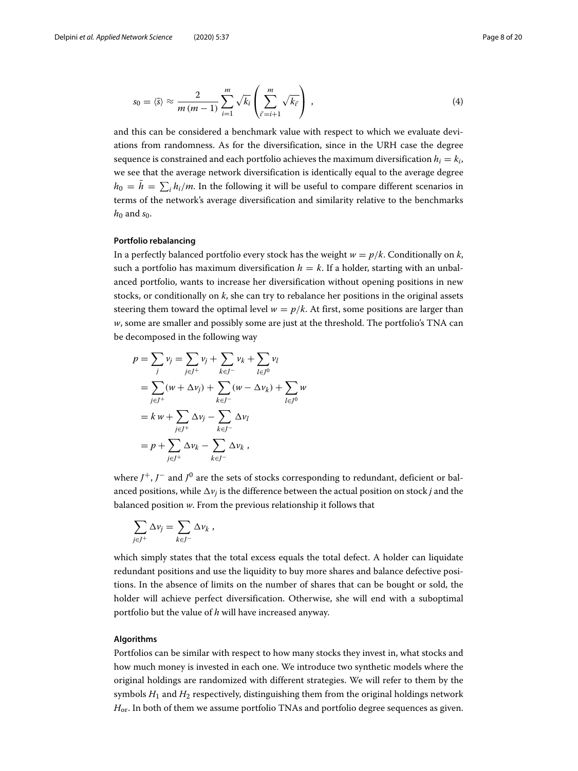$$
s_0 = \langle \bar{s} \rangle \approx \frac{2}{m(m-1)} \sum_{i=1}^m \sqrt{k_i} \left( \sum_{i'=i+1}^m \sqrt{k_i'} \right) , \qquad (4)
$$

and this can be considered a benchmark value with respect to which we evaluate deviations from randomness. As for the diversification, since in the URH case the degree sequence is constrained and each portfolio achieves the maximum diversification  $h_i = k_i$ , we see that the average network diversification is identically equal to the average degree  $h_0 = h = \sum_i h_i/m$ . In the following it will be useful to compare different scenarios in terms of the network's average diversification and similarity relative to the benchmarks  $h_0$  and  $s_0$ .

#### **Portfolio rebalancing**

In a perfectly balanced portfolio every stock has the weight  $w = p/k$ . Conditionally on *k*, such a portfolio has maximum diversification  $h = k$ . If a holder, starting with an unbalanced portfolio, wants to increase her diversification without opening positions in new stocks, or conditionally on *k*, she can try to rebalance her positions in the original assets steering them toward the optimal level  $w = p/k$ . At first, some positions are larger than *w*, some are smaller and possibly some are just at the threshold. The portfolio's TNA can be decomposed in the following way

$$
p = \sum_{j} v_{j} = \sum_{j \in J^{+}} v_{j} + \sum_{k \in J^{-}} v_{k} + \sum_{l \in J^{0}} v_{l}
$$
  
=  $\sum_{j \in J^{+}} (w + \Delta v_{j}) + \sum_{k \in J^{-}} (w - \Delta v_{k}) + \sum_{l \in J^{0}} w$   
=  $k w + \sum_{j \in J^{+}} \Delta v_{j} - \sum_{k \in J^{-}} \Delta v_{l}$   
=  $p + \sum_{j \in J^{+}} \Delta v_{k} - \sum_{k \in J^{-}} \Delta v_{k}$ ,

where *J*+, *J*<sup>−</sup> and *J*<sup>0</sup> are the sets of stocks corresponding to redundant, deficient or balanced positions, while  $\Delta v_i$  is the difference between the actual position on stock *j* and the balanced position *w*. From the previous relationship it follows that

$$
\sum_{j\in J^+} \Delta \nu_j = \sum_{k\in J^-} \Delta \nu_k,
$$

which simply states that the total excess equals the total defect. A holder can liquidate redundant positions and use the liquidity to buy more shares and balance defective positions. In the absence of limits on the number of shares that can be bought or sold, the holder will achieve perfect diversification. Otherwise, she will end with a suboptimal portfolio but the value of *h* will have increased anyway.

#### <span id="page-7-0"></span>**Algorithms**

Portfolios can be similar with respect to how many stocks they invest in, what stocks and how much money is invested in each one. We introduce two synthetic models where the original holdings are randomized with different strategies. We will refer to them by the symbols *H*<sup>1</sup> and *H*<sup>2</sup> respectively, distinguishing them from the original holdings network  $H_{\text{or}}$ . In both of them we assume portfolio TNAs and portfolio degree sequences as given.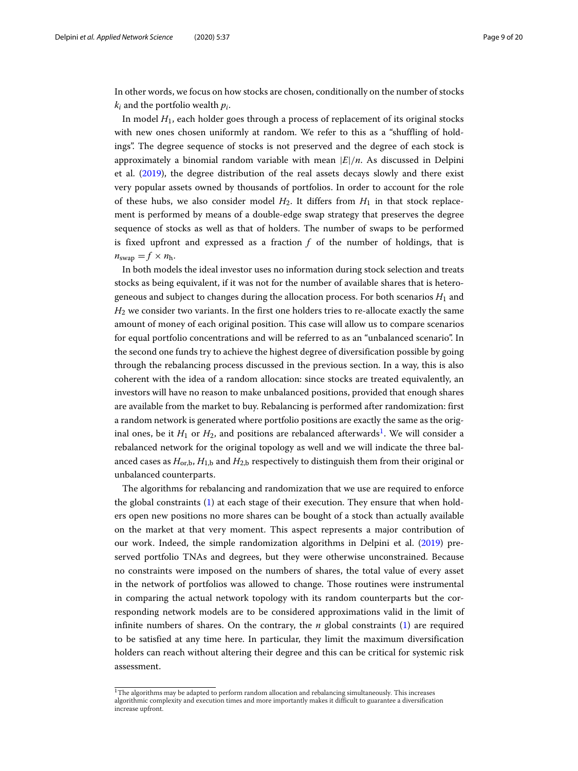In other words, we focus on how stocks are chosen, conditionally on the number of stocks  $k_i$  and the portfolio wealth  $p_i$ .

In model *H*1, each holder goes through a process of replacement of its original stocks with new ones chosen uniformly at random. We refer to this as a "shuffling of holdings". The degree sequence of stocks is not preserved and the degree of each stock is approximately a binomial random variable with mean  $|E|/n$ . As discussed in Delpini et al. [\(2019\)](#page-19-16), the degree distribution of the real assets decays slowly and there exist very popular assets owned by thousands of portfolios. In order to account for the role of these hubs, we also consider model  $H_2$ . It differs from  $H_1$  in that stock replacement is performed by means of a double-edge swap strategy that preserves the degree sequence of stocks as well as that of holders. The number of swaps to be performed is fixed upfront and expressed as a fraction *f* of the number of holdings, that is  $n_{swap} = f \times n_h$ .

In both models the ideal investor uses no information during stock selection and treats stocks as being equivalent, if it was not for the number of available shares that is heterogeneous and subject to changes during the allocation process. For both scenarios  $H_1$  and *H*<sup>2</sup> we consider two variants. In the first one holders tries to re-allocate exactly the same amount of money of each original position. This case will allow us to compare scenarios for equal portfolio concentrations and will be referred to as an "unbalanced scenario". In the second one funds try to achieve the highest degree of diversification possible by going through the rebalancing process discussed in the previous section. In a way, this is also coherent with the idea of a random allocation: since stocks are treated equivalently, an investors will have no reason to make unbalanced positions, provided that enough shares are available from the market to buy. Rebalancing is performed after randomization: first a random network is generated where portfolio positions are exactly the same as the original ones, be it  $H_1$  $H_1$  or  $H_2$ , and positions are rebalanced afterwards<sup>1</sup>. We will consider a rebalanced network for the original topology as well and we will indicate the three balanced cases as  $H_{\text{orb}}$ ,  $H_{1,\text{b}}$  and  $H_{2,\text{b}}$  respectively to distinguish them from their original or unbalanced counterparts.

The algorithms for rebalancing and randomization that we use are required to enforce the global constraints [\(1\)](#page-2-2) at each stage of their execution. They ensure that when holders open new positions no more shares can be bought of a stock than actually available on the market at that very moment. This aspect represents a major contribution of our work. Indeed, the simple randomization algorithms in Delpini et al. [\(2019\)](#page-19-16) preserved portfolio TNAs and degrees, but they were otherwise unconstrained. Because no constraints were imposed on the numbers of shares, the total value of every asset in the network of portfolios was allowed to change. Those routines were instrumental in comparing the actual network topology with its random counterparts but the corresponding network models are to be considered approximations valid in the limit of infinite numbers of shares. On the contrary, the  $n$  global constraints  $(1)$  are required to be satisfied at any time here. In particular, they limit the maximum diversification holders can reach without altering their degree and this can be critical for systemic risk assessment.

<span id="page-8-0"></span> $1$ The algorithms may be adapted to perform random allocation and rebalancing simultaneously. This increases algorithmic complexity and execution times and more importantly makes it difficult to guarantee a diversification increase upfront.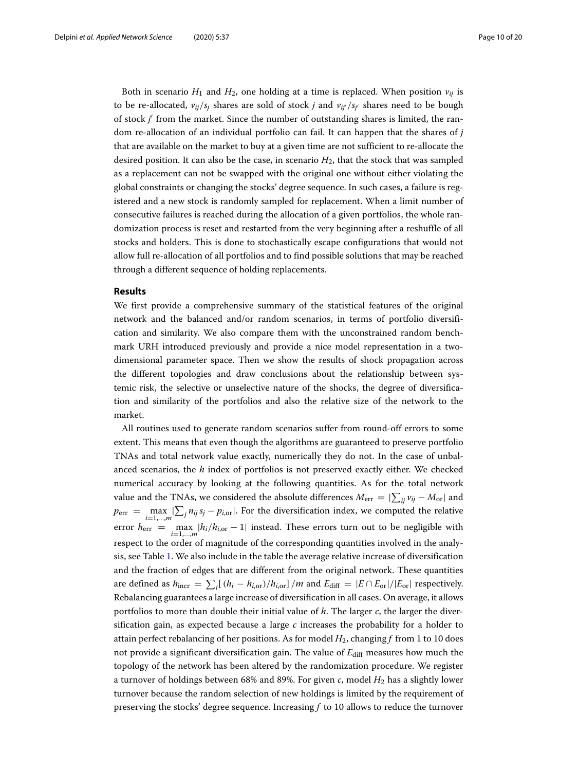Both in scenario  $H_1$  and  $H_2$ , one holding at a time is replaced. When position  $v_{ij}$  is to be re-allocated, *vij*/*sj* shares are sold of stock *j* and *vij*/*sj* shares need to be bough of stock *j* from the market. Since the number of outstanding shares is limited, the random re-allocation of an individual portfolio can fail. It can happen that the shares of *j* that are available on the market to buy at a given time are not sufficient to re-allocate the desired position. It can also be the case, in scenario  $H_2$ , that the stock that was sampled as a replacement can not be swapped with the original one without either violating the global constraints or changing the stocks' degree sequence. In such cases, a failure is registered and a new stock is randomly sampled for replacement. When a limit number of consecutive failures is reached during the allocation of a given portfolios, the whole randomization process is reset and restarted from the very beginning after a reshuffle of all stocks and holders. This is done to stochastically escape configurations that would not allow full re-allocation of all portfolios and to find possible solutions that may be reached through a different sequence of holding replacements.

#### <span id="page-9-0"></span>**Results**

We first provide a comprehensive summary of the statistical features of the original network and the balanced and/or random scenarios, in terms of portfolio diversification and similarity. We also compare them with the unconstrained random benchmark URH introduced previously and provide a nice model representation in a twodimensional parameter space. Then we show the results of shock propagation across the different topologies and draw conclusions about the relationship between systemic risk, the selective or unselective nature of the shocks, the degree of diversification and similarity of the portfolios and also the relative size of the network to the market.

All routines used to generate random scenarios suffer from round-off errors to some extent. This means that even though the algorithms are guaranteed to preserve portfolio TNAs and total network value exactly, numerically they do not. In the case of unbalanced scenarios, the *h* index of portfolios is not preserved exactly either. We checked numerical accuracy by looking at the following quantities. As for the total network value and the TNAs, we considered the absolute differences  $M_{\rm err}=|\sum_{ij} \nu_{ij}-M_{\rm or}|$  and  $p_{\text{err}} = \max_{i=1,...,m} |\sum_j n_{ij} s_j - p_{i,\text{or}}|$ . For the diversification index, we computed the relative error  $h_{\text{err}} = \max_{i=1,...,m} |h_i/h_{i,\text{or}} - 1|$  instead. These errors turn out to be negligible with respect to the order of magnitude of the corresponding quantities involved in the analysis, see Table [1.](#page-10-0) We also include in the table the average relative increase of diversification and the fraction of edges that are different from the original network. These quantities are defined as  $h_{\text{incr}} = \sum_i [(h_i - h_{i,\text{or}})/h_{i,\text{or}}] / m$  and  $E_{\text{diff}} = |E \cap E_{\text{or}}| / |E_{\text{or}}|$  respectively. Rebalancing guarantees a large increase of diversification in all cases. On average, it allows portfolios to more than double their initial value of *h*. The larger *c*, the larger the diversification gain, as expected because a large  $c$  increases the probability for a holder to attain perfect rebalancing of her positions. As for model *H*2, changing *f* from 1 to 10 does not provide a significant diversification gain. The value of  $E_{\text{diff}}$  measures how much the topology of the network has been altered by the randomization procedure. We register a turnover of holdings between 68% and 89%. For given *c*, model *H*<sup>2</sup> has a slightly lower turnover because the random selection of new holdings is limited by the requirement of preserving the stocks' degree sequence. Increasing *f* to 10 allows to reduce the turnover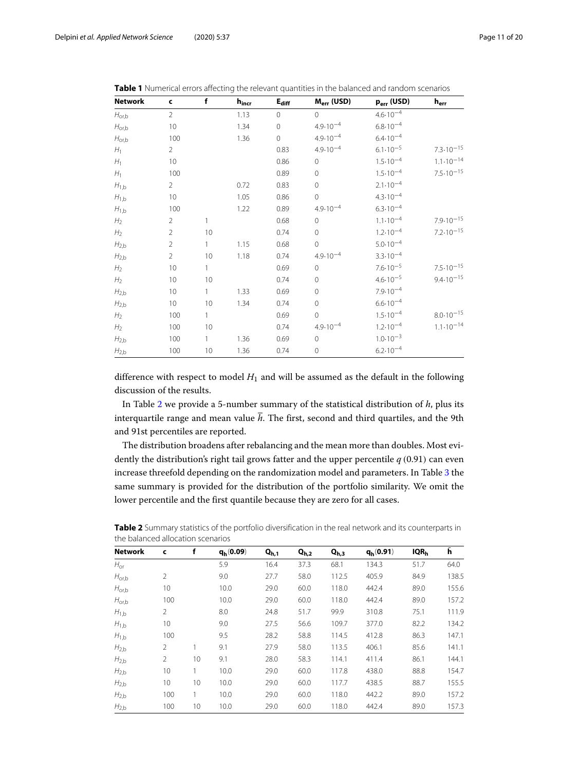| <b>Network</b>    | $\mathsf{c}$   | f            | $h_{\text{incr}}$ | $E_{diff}$     | M <sub>err</sub> (USD) | p <sub>err</sub> (USD) | $\mathbf{h}_{\text{err}}$ |
|-------------------|----------------|--------------|-------------------|----------------|------------------------|------------------------|---------------------------|
| $H_{\text{or},b}$ | $\overline{2}$ |              | 1.13              | $\overline{0}$ | $\Omega$               | $4.6 \cdot 10^{-4}$    |                           |
| $H_{\text{or},b}$ | 10             |              | 1.34              | $\mathbf{0}$   | $4.9 \cdot 10^{-4}$    | $6.8 \cdot 10^{-4}$    |                           |
| $H_{\text{or},b}$ | 100            |              | 1.36              | $\overline{0}$ | $4.9.10^{-4}$          | $6.4 \cdot 10^{-4}$    |                           |
| $H_1$             | $\overline{2}$ |              |                   | 0.83           | $4.9.10^{-4}$          | $6.1 \cdot 10^{-5}$    | $7.3 \cdot 10^{-15}$      |
| $H_1$             | 10             |              |                   | 0.86           | $\overline{0}$         | $1.5 \cdot 10^{-4}$    | $1.1 \cdot 10^{-14}$      |
| $H_1$             | 100            |              |                   | 0.89           | $\Omega$               | $1.5 \cdot 10^{-4}$    | $7.5 \cdot 10^{-15}$      |
| $H_{1,b}$         | $\overline{2}$ |              | 0.72              | 0.83           | $\Omega$               | $2.1 \cdot 10^{-4}$    |                           |
| $H_{1,b}$         | 10             |              | 1.05              | 0.86           | $\overline{0}$         | $4.3 \cdot 10^{-4}$    |                           |
| $H_{1,b}$         | 100            |              | 1.22              | 0.89           | $4.9.10^{-4}$          | $6.3 \cdot 10^{-4}$    |                           |
| H <sub>2</sub>    | $\overline{2}$ | 1            |                   | 0.68           | $\overline{0}$         | $1.1 \cdot 10^{-4}$    | $7.9 \cdot 10^{-15}$      |
| H <sub>2</sub>    | $\overline{2}$ | 10           |                   | 0.74           | $\overline{0}$         | $1.2 \cdot 10^{-4}$    | $7.2 \cdot 10^{-15}$      |
| $H_{2,b}$         | $\overline{2}$ | 1            | 1.15              | 0.68           | $\Omega$               | $5.0 \cdot 10^{-4}$    |                           |
| $H_{2,b}$         | $\overline{2}$ | 10           | 1.18              | 0.74           | $4.9 \cdot 10^{-4}$    | $3.3 \cdot 10^{-4}$    |                           |
| H <sub>2</sub>    | 10             | $\mathbf{1}$ |                   | 0.69           | $\mathsf{O}\xspace$    | $7.6 \cdot 10^{-5}$    | $7.5 \cdot 10^{-15}$      |
| H <sub>2</sub>    | 10             | 10           |                   | 0.74           | $\Omega$               | $4.6 \cdot 10^{-5}$    | $9.4 \cdot 10^{-15}$      |
| $H_{2,b}$         | 10             | $\mathbf{1}$ | 1.33              | 0.69           | $\Omega$               | $7.9.10^{-4}$          |                           |
| $H_{2,b}$         | 10             | 10           | 1.34              | 0.74           | $\mathbf{0}$           | $6.6 \cdot 10^{-4}$    |                           |
| H <sub>2</sub>    | 100            | 1            |                   | 0.69           | $\Omega$               | $1.5 \cdot 10^{-4}$    | $8.0 \cdot 10^{-15}$      |
| H <sub>2</sub>    | 100            | 10           |                   | 0.74           | $4.9.10^{-4}$          | $1.2 \cdot 10^{-4}$    | $1.1 \cdot 10^{-14}$      |
| $H_{2,b}$         | 100            | $\mathbf{1}$ | 1.36              | 0.69           | $\mathbf{0}$           | $1.0 \cdot 10^{-3}$    |                           |
| $H_{2,b}$         | 100            | 10           | 1.36              | 0.74           | $\mathbf{0}$           | $6.2 \cdot 10^{-4}$    |                           |

<span id="page-10-0"></span>

| Table 1 Numerical errors affecting the relevant quantities in the balanced and random scenarios |
|-------------------------------------------------------------------------------------------------|
|-------------------------------------------------------------------------------------------------|

difference with respect to model  $H_1$  and will be assumed as the default in the following discussion of the results.

In Table [2](#page-10-1) we provide a 5-number summary of the statistical distribution of *h*, plus its interquartile range and mean value  $\bar{h}$ . The first, second and third quartiles, and the 9th and 91st percentiles are reported.

The distribution broadens after rebalancing and the mean more than doubles. Most evidently the distribution's right tail grows fatter and the upper percentile *q* (0.91) can even increase threefold depending on the randomization model and parameters. In Table [3](#page-11-0) the same summary is provided for the distribution of the portfolio similarity. We omit the lower percentile and the first quantile because they are zero for all cases.

| <u>THE DAIRITLEY ANOGATION SCENATIOS</u> |                |    |             |           |           |           |             |                  |       |
|------------------------------------------|----------------|----|-------------|-----------|-----------|-----------|-------------|------------------|-------|
| <b>Network</b>                           | c              | f  | $q_h(0.09)$ | $Q_{h,1}$ | $Q_{h,2}$ | $Q_{h,3}$ | $q_h(0.91)$ | IQR <sub>h</sub> | h     |
| $H_{\rm or}$                             |                |    | 5.9         | 16.4      | 37.3      | 68.1      | 134.3       | 51.7             | 64.0  |
| $H_{\text{or},b}$                        | $\overline{2}$ |    | 9.0         | 27.7      | 58.0      | 112.5     | 405.9       | 84.9             | 138.5 |
| $H_{\text{or},b}$                        | 10             |    | 10.0        | 29.0      | 60.0      | 118.0     | 442.4       | 89.0             | 155.6 |
| $H_{\text{or},b}$                        | 100            |    | 10.0        | 29.0      | 60.0      | 118.0     | 442.4       | 89.0             | 157.2 |
| $H_{1,b}$                                | $\overline{2}$ |    | 8.0         | 24.8      | 51.7      | 99.9      | 310.8       | 75.1             | 111.9 |
| $H_{1,b}$                                | 10             |    | 9.0         | 27.5      | 56.6      | 109.7     | 377.0       | 82.2             | 134.2 |
| $H_{1,b}$                                | 100            |    | 9.5         | 28.2      | 58.8      | 114.5     | 412.8       | 86.3             | 147.1 |
| $H_{2,b}$                                | $\overline{2}$ | 1  | 9.1         | 27.9      | 58.0      | 113.5     | 406.1       | 85.6             | 141.1 |
| $H_{2,b}$                                | $\overline{2}$ | 10 | 9.1         | 28.0      | 58.3      | 114.1     | 411.4       | 86.1             | 144.1 |
| $H_{2,b}$                                | 10             | 1  | 10.0        | 29.0      | 60.0      | 117.8     | 438.0       | 88.8             | 154.7 |
| $H_{2,b}$                                | 10             | 10 | 10.0        | 29.0      | 60.0      | 117.7     | 438.5       | 88.7             | 155.5 |
| $H_{2,b}$                                | 100            | 1  | 10.0        | 29.0      | 60.0      | 118.0     | 442.2       | 89.0             | 157.2 |
| $H_{2,b}$                                | 100            | 10 | 10.0        | 29.0      | 60.0      | 118.0     | 442.4       | 89.0             | 157.3 |

<span id="page-10-1"></span>**Table 2** Summary statistics of the portfolio diversification in the real network and its counterparts in the balanced allocation scenarios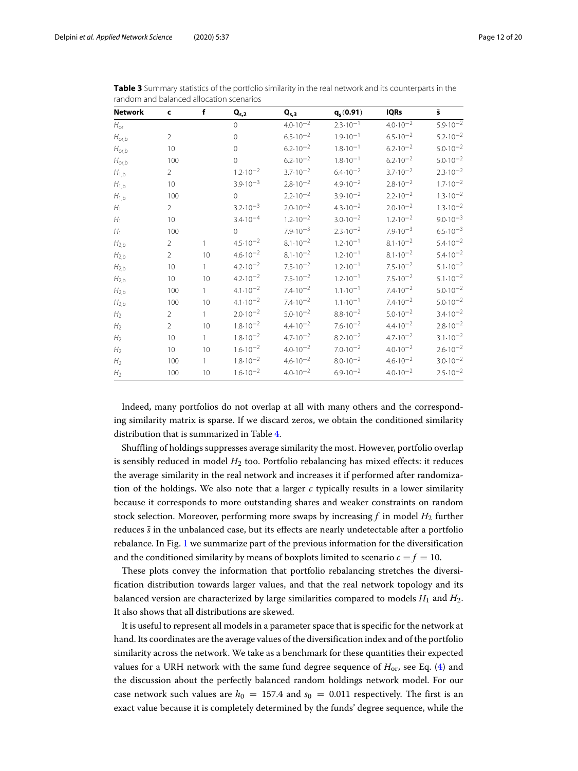| <b>Network</b>    | c              | f  | $\mathbf{Q}_{\text{s,2}}$ | $Q_{s,3}$           | $q_s(0.91)$         | <b>IQRs</b>         | $\bar{\mathbf{s}}$  |
|-------------------|----------------|----|---------------------------|---------------------|---------------------|---------------------|---------------------|
| $H_{or}$          |                |    | $\Omega$                  | $4.0 \cdot 10^{-2}$ | $2.3 \cdot 10^{-1}$ | $4.0 \cdot 10^{-2}$ | $5.9.10^{-2}$       |
| $H_{\text{or},b}$ | $\overline{2}$ |    | $\Omega$                  | $6.5 \cdot 10^{-2}$ | $1.9.10^{-1}$       | $6.5 \cdot 10^{-2}$ | $5.2 \cdot 10^{-2}$ |
| $H_{\text{or},b}$ | 10             |    | $\Omega$                  | $6.2 \cdot 10^{-2}$ | $1.8 \cdot 10^{-1}$ | $6.2 \cdot 10^{-2}$ | $5.0 \cdot 10^{-2}$ |
| $H_{\text{or},b}$ | 100            |    | $\Omega$                  | $6.2 \cdot 10^{-2}$ | $1.8 \cdot 10^{-1}$ | $6.2 \cdot 10^{-2}$ | $5.0 \cdot 10^{-2}$ |
| $H_{1,b}$         | $\overline{2}$ |    | $1.2 \cdot 10^{-2}$       | $3.7 \cdot 10^{-2}$ | $6.4 \cdot 10^{-2}$ | $3.7 \cdot 10^{-2}$ | $2.3 \cdot 10^{-2}$ |
| $H_{1,b}$         | 10             |    | $3.9.10^{-3}$             | $2.8 \cdot 10^{-2}$ | $4.9 \cdot 10^{-2}$ | $2.8 \cdot 10^{-2}$ | $1.7 \cdot 10^{-2}$ |
| $H_{1,b}$         | 100            |    | $\Omega$                  | $2.2 \cdot 10^{-2}$ | $3.9.10^{-2}$       | $2.2 \cdot 10^{-2}$ | $1.3 \cdot 10^{-2}$ |
| $H_1$             | $\overline{2}$ |    | $3.2 \cdot 10^{-3}$       | $2.0 \cdot 10^{-2}$ | $4.3 \cdot 10^{-2}$ | $2.0 \cdot 10^{-2}$ | $1.3 \cdot 10^{-2}$ |
| H <sub>1</sub>    | 10             |    | $3.4.10^{-4}$             | $1.2 \cdot 10^{-2}$ | $3.0.10^{-2}$       | $1.2 \cdot 10^{-2}$ | $9.0 \cdot 10^{-3}$ |
| $H_1$             | 100            |    | $\Omega$                  | $7.9 \cdot 10^{-3}$ | $2.3 \cdot 10^{-2}$ | $7.9.10^{-3}$       | $6.5 \cdot 10^{-3}$ |
| $H_{2,b}$         | 2              | 1  | $4.5 \cdot 10^{-2}$       | $8.1 \cdot 10^{-2}$ | $1.2 \cdot 10^{-1}$ | $8.1 \cdot 10^{-2}$ | $5.4 \cdot 10^{-2}$ |
| $H_{2,b}$         | $\overline{2}$ | 10 | $4.6 \cdot 10^{-2}$       | $8.1 \cdot 10^{-2}$ | $1.2 \cdot 10^{-1}$ | $8.1 \cdot 10^{-2}$ | $5.4 \cdot 10^{-2}$ |
| $H_{2,b}$         | 10             | 1  | $4.2 \cdot 10^{-2}$       | $7.5 \cdot 10^{-2}$ | $1.2 \cdot 10^{-1}$ | $7.5 \cdot 10^{-2}$ | $5.1 \cdot 10^{-2}$ |
| $H_{2,b}$         | 10             | 10 | $4.2 \cdot 10^{-2}$       | $7.5 \cdot 10^{-2}$ | $1.2 \cdot 10^{-1}$ | $7.5 \cdot 10^{-2}$ | $5.1 \cdot 10^{-2}$ |
| $H_{2,b}$         | 100            | 1  | $4.1 \cdot 10^{-2}$       | $7.4 \cdot 10^{-2}$ | $1.1 \cdot 10^{-1}$ | $7.4 \cdot 10^{-2}$ | $5.0 \cdot 10^{-2}$ |
| $H_{2,b}$         | 100            | 10 | $4.1 \cdot 10^{-2}$       | $7.4 \cdot 10^{-2}$ | $1.1 \cdot 10^{-1}$ | $7.4 \cdot 10^{-2}$ | $5.0 \cdot 10^{-2}$ |
| H <sub>2</sub>    | $\overline{2}$ | 1  | $2.0 \cdot 10^{-2}$       | $5.0 \cdot 10^{-2}$ | $8.8 \cdot 10^{-2}$ | $5.0.10^{-2}$       | $3.4.10^{-2}$       |
| H <sub>2</sub>    | $\overline{2}$ | 10 | $1.8 \cdot 10^{-2}$       | $4.4 \cdot 10^{-2}$ | $7.6 \cdot 10^{-2}$ | $4.4 \cdot 10^{-2}$ | $2.8 \cdot 10^{-2}$ |
| H <sub>2</sub>    | 10             | 1  | $1.8 \cdot 10^{-2}$       | $4.7 \cdot 10^{-2}$ | $8.2 \cdot 10^{-2}$ | $4.7 \cdot 10^{-2}$ | $3.1 \cdot 10^{-2}$ |
| H <sub>2</sub>    | 10             | 10 | $1.6 \cdot 10^{-2}$       | $4.0 \cdot 10^{-2}$ | $7.0 \cdot 10^{-2}$ | $4.0 \cdot 10^{-2}$ | $2.6 \cdot 10^{-2}$ |
| H <sub>2</sub>    | 100            | 1  | $1.8 \cdot 10^{-2}$       | $4.6 \cdot 10^{-2}$ | $8.0 \cdot 10^{-2}$ | $4.6 \cdot 10^{-2}$ | $3.0 \cdot 10^{-2}$ |
| H <sub>2</sub>    | 100            | 10 | $1.6 \cdot 10^{-2}$       | $4.0 \cdot 10^{-2}$ | $6.9 \cdot 10^{-2}$ | $4.0 \cdot 10^{-2}$ | $2.5 \cdot 10^{-2}$ |

<span id="page-11-0"></span>**Table 3** Summary statistics of the portfolio similarity in the real network and its counterparts in the random and balanced allocation scenarios

Indeed, many portfolios do not overlap at all with many others and the corresponding similarity matrix is sparse. If we discard zeros, we obtain the conditioned similarity distribution that is summarized in Table [4.](#page-12-0)

Shuffling of holdings suppresses average similarity the most. However, portfolio overlap is sensibly reduced in model *H*<sup>2</sup> too. Portfolio rebalancing has mixed effects: it reduces the average similarity in the real network and increases it if performed after randomization of the holdings. We also note that a larger *c* typically results in a lower similarity because it corresponds to more outstanding shares and weaker constraints on random stock selection. Moreover, performing more swaps by increasing  $f$  in model  $H_2$  further reduces *s*¯ in the unbalanced case, but its effects are nearly undetectable after a portfolio rebalance. In Fig. [1](#page-13-0) we summarize part of the previous information for the diversification and the conditioned similarity by means of boxplots limited to scenario  $c = f = 10$ .

These plots convey the information that portfolio rebalancing stretches the diversification distribution towards larger values, and that the real network topology and its balanced version are characterized by large similarities compared to models  $H_1$  and  $H_2$ . It also shows that all distributions are skewed.

It is useful to represent all models in a parameter space that is specific for the network at hand. Its coordinates are the average values of the diversification index and of the portfolio similarity across the network. We take as a benchmark for these quantities their expected values for a URH network with the same fund degree sequence of  $H_{\text{or}}$ , see Eq. [\(4\)](#page-6-0) and the discussion about the perfectly balanced random holdings network model. For our case network such values are  $h_0 = 157.4$  and  $s_0 = 0.011$  respectively. The first is an exact value because it is completely determined by the funds' degree sequence, while the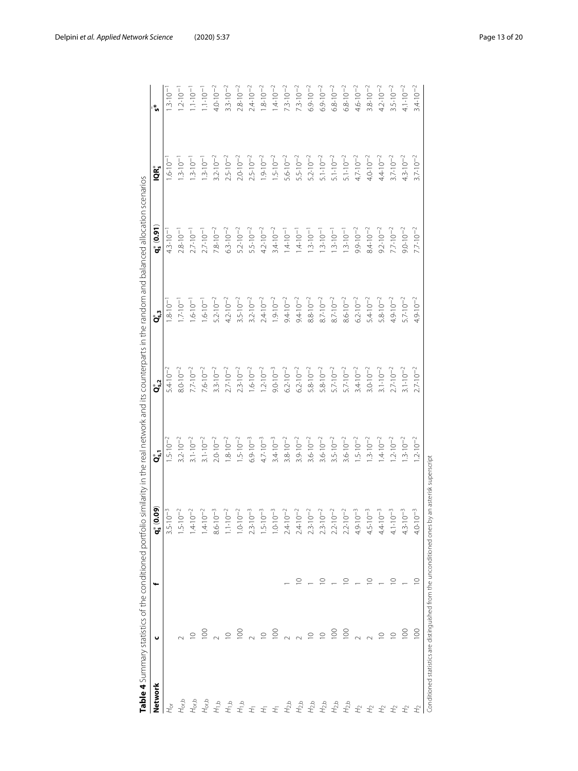<span id="page-12-0"></span>

|                    |                |             | Table 4 Summary statistics of the conditioned portfolio similarity in the real network and its counterparts in the random and balanced allocation scenarios |                     |                                        |                     |                                        |                     |                     |
|--------------------|----------------|-------------|-------------------------------------------------------------------------------------------------------------------------------------------------------------|---------------------|----------------------------------------|---------------------|----------------------------------------|---------------------|---------------------|
| Network            | u              | ⊷           | $\mathbf{60}$<br>ಲ<br>*ೈ                                                                                                                                    | ໍາ້                 | $\mathbf{Q}_{\mathbf{s},\mathbf{2}}^*$ | ື່                  | $\mathbf{q}_{\mathrm{s}}^{*}$ $(0.91)$ | iQR*                | '້ທ                 |
| $H_{\sigma}$       |                |             |                                                                                                                                                             | $1.5 \cdot 10^{-2}$ | $5.4 \cdot 10^{-2}$                    | $1.8 \cdot 10^{-1}$ | $4.3 \cdot 10^{-1}$                    | $1.6 \cdot 10^{-1}$ | $1.3 \cdot 10^{-1}$ |
| $H_{\text{orb}}$   |                |             |                                                                                                                                                             | $3.2 \cdot 10^{-2}$ | $8.0 \cdot 10^{-2}$                    | $1.7 \cdot 10^{-1}$ | $2.8 \cdot 10^{-1}$                    | $1.3 \cdot 10^{-1}$ | $1.2 \cdot 10^{-1}$ |
| $H_{\text{orb}}$   |                |             |                                                                                                                                                             | $3.1 \cdot 10^{-2}$ | $7.7 \cdot 10^{-2}$                    | $1.6 \cdot 10^{-1}$ | $2.7 \cdot 10^{-1}$                    | $1.3 \cdot 10^{-1}$ | $1.1 \cdot 10^{-1}$ |
| $H_{\text{orb}}$   | $\overline{5}$ |             |                                                                                                                                                             | $3.1 \cdot 10^{-2}$ | $7.6 \cdot 10^{-2}$                    | $1.6 \cdot 10^{-1}$ | $2.7 \cdot 10^{-1}$                    | $1.3 \cdot 10^{-1}$ | $1.1 \cdot 10^{-1}$ |
| $H_{1,\mathsf{b}}$ |                |             |                                                                                                                                                             | $2.0 \cdot 10^{-2}$ | $3.3 \cdot 10^{-2}$                    | $5.2 \cdot 10^{-2}$ | $7.8 \cdot 10^{-2}$                    | $3.2 \cdot 10^{-2}$ | $4.0 \cdot 10^{-2}$ |
| $H_{1b}$           | $\supseteq$    |             |                                                                                                                                                             | $1.8 \cdot 10^{-2}$ | $2.7 \cdot 10^{-2}$                    | $4.2 \cdot 10^{-2}$ | $6.3 \cdot 10^{-2}$                    | $2.5 \cdot 10^{-2}$ | $3.3 \cdot 10^{-2}$ |
| $H_{1,b}$          | $\overline{5}$ |             |                                                                                                                                                             | $1.5 \cdot 10^{-2}$ | $2.3 \cdot 10^{-2}$                    | $3.5 \cdot 10^{-2}$ | $5.2 \cdot 10^{-2}$                    | $2.0 \cdot 10^{-2}$ | $2.8 \cdot 10^{-2}$ |
| $\pm$              |                |             |                                                                                                                                                             | $6.9 \cdot 10^{-3}$ | $1.6 \cdot 10^{-2}$                    | $3.2 \cdot 10^{-2}$ | $5.5 \cdot 10^{-2}$                    | $2.5 \cdot 10^{-2}$ | $2.4 \cdot 10^{-2}$ |
| $\pm$              | $\supseteq$    |             |                                                                                                                                                             | $4.7 \cdot 10^{-3}$ | $1.2 \cdot 10^{-2}$                    | $2.4 \cdot 10^{-2}$ | $4.2 \cdot 10^{-2}$                    | $1.9.10^{-2}$       | $1.8 \cdot 10^{-2}$ |
| $\pm$              | $\overline{5}$ |             |                                                                                                                                                             | $3.4 \cdot 10^{-3}$ | $9.0 \cdot 10^{-3}$                    | $1.9 \cdot 10^{-2}$ | $3.4.10^{-2}$                          | $1.5 \cdot 10^{-2}$ | $1.4.10^{-2}$       |
| $H_{2,b}$          |                |             |                                                                                                                                                             | $3.8 \cdot 10^{-2}$ | $6.2 \cdot 10^{-2}$                    | $9.4 \cdot 10^{-2}$ | $1.4.10^{-1}$                          | $5.6 \cdot 10^{-2}$ | $7.3 \cdot 10^{-2}$ |
| $H_{2,b}$          | $\sim$         |             |                                                                                                                                                             | $3.9 \cdot 10^{-2}$ | $6.2 \cdot 10^{-2}$                    | $9.4 \cdot 10^{-2}$ | $1.4.10-1$                             | $5.5 \cdot 10^{-2}$ | $7.3 \cdot 10^{-2}$ |
| $H_{2,\mathsf{b}}$ | $\supseteq$    |             |                                                                                                                                                             | $3.6 \cdot 10^{-2}$ | $5.8 \cdot 10^{-2}$                    | $8.8 \cdot 10^{-2}$ | $1.3 \cdot 10^{-1}$                    | $5.2 \cdot 10^{-2}$ | $6.9 \cdot 10^{-2}$ |
| $H_{2,b}$          | $\supseteq$    | $\circ$     |                                                                                                                                                             | $3.6 \cdot 10^{-2}$ | $5.8 \cdot 10^{-2}$                    | $8.7 \cdot 10^{-2}$ | $1.3 \cdot 10^{-1}$                    | $5.1 \cdot 10^{-2}$ | $6.9 \cdot 10^{-2}$ |
| $H_{2,b}$          | $\overline{5}$ |             |                                                                                                                                                             | $3.5 \cdot 10^{-2}$ | $5.7 \cdot 10^{-2}$                    | $8.7 \cdot 10^{-2}$ | $1.3 \cdot 10^{-1}$                    | $5.1 \cdot 10^{-2}$ | $6.8 \cdot 10^{-2}$ |
| $H_{2,b}$          | $\overline{5}$ | $\circ$     |                                                                                                                                                             | $3.6 \cdot 10^{-2}$ | $5.7 \cdot 10^{-2}$                    | $8.6 \cdot 10^{-2}$ | $1.3 \cdot 10^{-1}$                    | $5.1 \cdot 10^{-2}$ | $6.8 \cdot 10^{-2}$ |
| $\pm^2$            |                |             |                                                                                                                                                             | $1.5 \cdot 10^{-2}$ | $3.4 \cdot 10^{-2}$                    | $6.2 \cdot 10^{-2}$ | $9.9.10^{-2}$                          | $4.7 \cdot 10^{-2}$ | $4.6 \cdot 10^{-2}$ |
| $\pm$              |                | $\circ$     | $4.5 \cdot 10^{-3}$                                                                                                                                         | $1.3 \cdot 10^{-2}$ | $3.0 \cdot 10^{-2}$                    | $5.4 \cdot 10^{-2}$ | $8.4 \cdot 10^{-2}$                    | $4.0 \cdot 10^{-2}$ | $3.8 \cdot 10^{-2}$ |
| $\pm^2$            | $\supseteq$    |             | $4.4 \cdot 10^{-3}$                                                                                                                                         | $1.4.10^{-2}$       | $3.1 \cdot 10^{-2}$                    | $5.8 \cdot 10^{-2}$ | $9.2 \cdot 10^{-2}$                    | $4.4 \cdot 10^{-2}$ | $4.2 \cdot 10^{-2}$ |
| $\pm$              | $\supseteq$    | $\subseteq$ | $4.1 \cdot 10^{-3}$                                                                                                                                         | $1.2 \cdot 10^{-2}$ | $2.7 \cdot 10^{-2}$                    | $4.9 \cdot 10^{-2}$ | $7.7 \cdot 10^{-2}$                    | $3.7 \cdot 10^{-2}$ | $3.5 \cdot 10^{-2}$ |
| H <sub>2</sub>     | $\frac{8}{1}$  |             | $4.3 \cdot 10^{-3}$                                                                                                                                         | $1.3 \cdot 10^{-2}$ | $3.1 \cdot 10^{-2}$                    | $5.7 \cdot 10^{-2}$ | $9.0 \cdot 10^{-2}$                    | $4.3 \cdot 10^{-2}$ | $4.1 \cdot 10^{-2}$ |
| $H_2$              | $\approx$      | $\circ$     | $4.0 \cdot 10^{-3}$                                                                                                                                         | $1.2 \cdot 10^{-2}$ | $2.7 \cdot 10^{-2}$                    | $4.9 \cdot 10^{-2}$ | $7.7 \cdot 10^{-2}$                    | $3.7.10^{-2}$       | $3.4.10^{-2}$       |
|                    |                |             | Conditioned statistics are distinguished from the unconditioned ones by an asterisk superscript                                                             |                     |                                        |                     |                                        |                     |                     |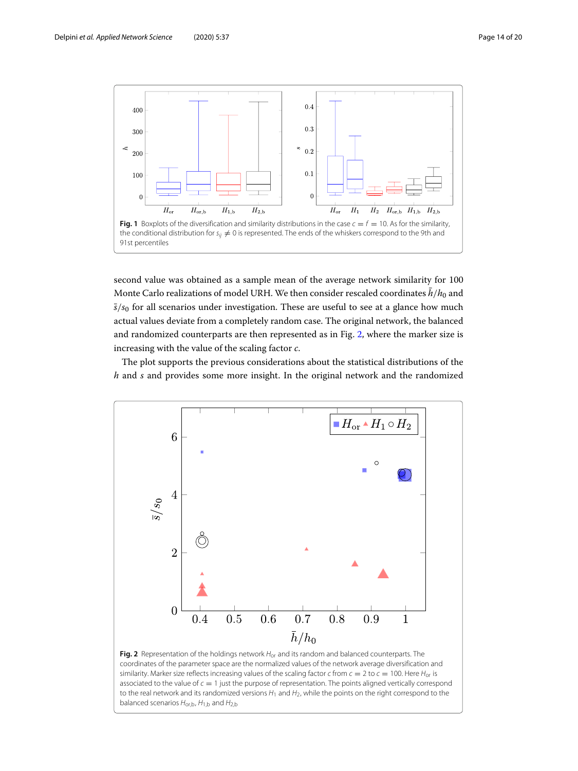

<span id="page-13-0"></span>second value was obtained as a sample mean of the average network similarity for 100 Monte Carlo realizations of model URH. We then consider rescaled coordinates  $\bar{h}/h_0$  and  $\bar{s}/s_0$  for all scenarios under investigation. These are useful to see at a glance how much actual values deviate from a completely random case. The original network, the balanced and randomized counterparts are then represented as in Fig. [2,](#page-13-1) where the marker size is increasing with the value of the scaling factor *c*.

The plot supports the previous considerations about the statistical distributions of the *h* and *s* and provides some more insight. In the original network and the randomized



<span id="page-13-1"></span>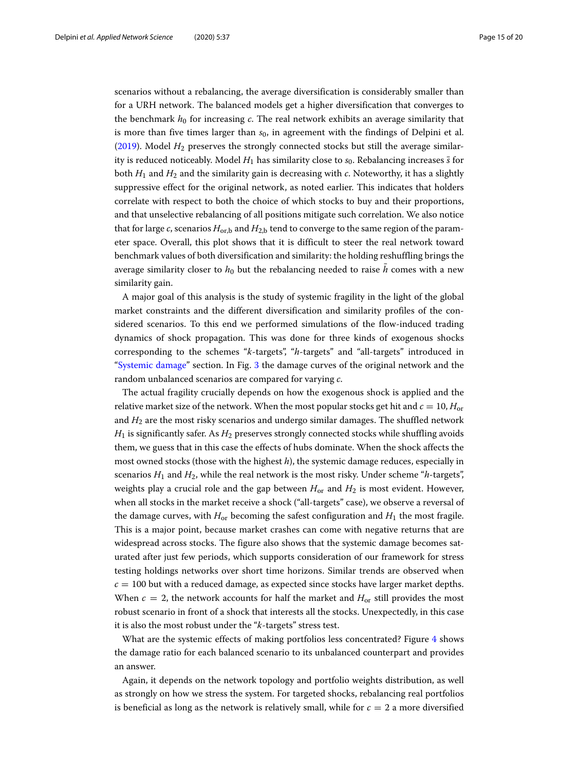scenarios without a rebalancing, the average diversification is considerably smaller than for a URH network. The balanced models get a higher diversification that converges to the benchmark  $h_0$  for increasing  $c$ . The real network exhibits an average similarity that is more than five times larger than *s*0, in agreement with the findings of Delpini et al. [\(2019\)](#page-19-16). Model *H*<sup>2</sup> preserves the strongly connected stocks but still the average similarity is reduced noticeably. Model  $H_1$  has similarity close to  $s_0$ . Rebalancing increases  $\bar{s}$  for both *H*<sup>1</sup> and *H*<sup>2</sup> and the similarity gain is decreasing with *c*. Noteworthy, it has a slightly suppressive effect for the original network, as noted earlier. This indicates that holders correlate with respect to both the choice of which stocks to buy and their proportions, and that unselective rebalancing of all positions mitigate such correlation. We also notice that for large  $c$ , scenarios  $H_{\text{or},b}$  and  $H_{2,b}$  tend to converge to the same region of the parameter space. Overall, this plot shows that it is difficult to steer the real network toward benchmark values of both diversification and similarity: the holding reshuffling brings the average similarity closer to  $h_0$  but the rebalancing needed to raise h comes with a new similarity gain.

A major goal of this analysis is the study of systemic fragility in the light of the global market constraints and the different diversification and similarity profiles of the considered scenarios. To this end we performed simulations of the flow-induced trading dynamics of shock propagation. This was done for three kinds of exogenous shocks corresponding to the schemes "*k*-targets", "*h*-targets" and "all-targets" introduced in ["Systemic damage"](#page-5-0) section. In Fig. [3](#page-15-0) the damage curves of the original network and the random unbalanced scenarios are compared for varying *c*.

The actual fragility crucially depends on how the exogenous shock is applied and the relative market size of the network. When the most popular stocks get hit and  $c = 10$ ,  $H_{\text{or}}$ and  $H_2$  are the most risky scenarios and undergo similar damages. The shuffled network  $H_1$  is significantly safer. As  $H_2$  preserves strongly connected stocks while shuffling avoids them, we guess that in this case the effects of hubs dominate. When the shock affects the most owned stocks (those with the highest *h*), the systemic damage reduces, especially in scenarios  $H_1$  and  $H_2$ , while the real network is the most risky. Under scheme "*h*-targets", weights play a crucial role and the gap between *H*or and *H*<sup>2</sup> is most evident. However, when all stocks in the market receive a shock ("all-targets" case), we observe a reversal of the damage curves, with  $H_{or}$  becoming the safest configuration and  $H_1$  the most fragile. This is a major point, because market crashes can come with negative returns that are widespread across stocks. The figure also shows that the systemic damage becomes saturated after just few periods, which supports consideration of our framework for stress testing holdings networks over short time horizons. Similar trends are observed when  $c = 100$  but with a reduced damage, as expected since stocks have larger market depths. When  $c = 2$ , the network accounts for half the market and  $H_{or}$  still provides the most robust scenario in front of a shock that interests all the stocks. Unexpectedly, in this case it is also the most robust under the "*k*-targets" stress test.

What are the systemic effects of making portfolios less concentrated? Figure [4](#page-16-0) shows the damage ratio for each balanced scenario to its unbalanced counterpart and provides an answer.

Again, it depends on the network topology and portfolio weights distribution, as well as strongly on how we stress the system. For targeted shocks, rebalancing real portfolios is beneficial as long as the network is relatively small, while for  $c = 2$  a more diversified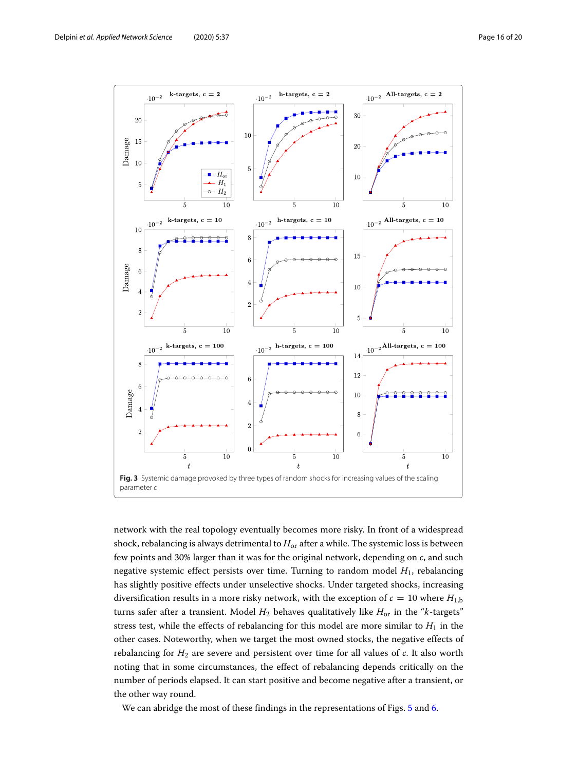

<span id="page-15-0"></span>network with the real topology eventually becomes more risky. In front of a widespread shock, rebalancing is always detrimental to  $H_{\text{or}}$  after a while. The systemic loss is between few points and 30% larger than it was for the original network, depending on *c*, and such negative systemic effect persists over time. Turning to random model *H*1, rebalancing has slightly positive effects under unselective shocks. Under targeted shocks, increasing diversification results in a more risky network, with the exception of  $c = 10$  where  $H_{1,b}$ turns safer after a transient. Model *H*<sup>2</sup> behaves qualitatively like *H*or in the "*k*-targets" stress test, while the effects of rebalancing for this model are more similar to  $H_1$  in the other cases. Noteworthy, when we target the most owned stocks, the negative effects of rebalancing for *H*<sup>2</sup> are severe and persistent over time for all values of *c*. It also worth noting that in some circumstances, the effect of rebalancing depends critically on the number of periods elapsed. It can start positive and become negative after a transient, or the other way round.

We can abridge the most of these findings in the representations of Figs. [5](#page-16-1) and [6.](#page-17-0)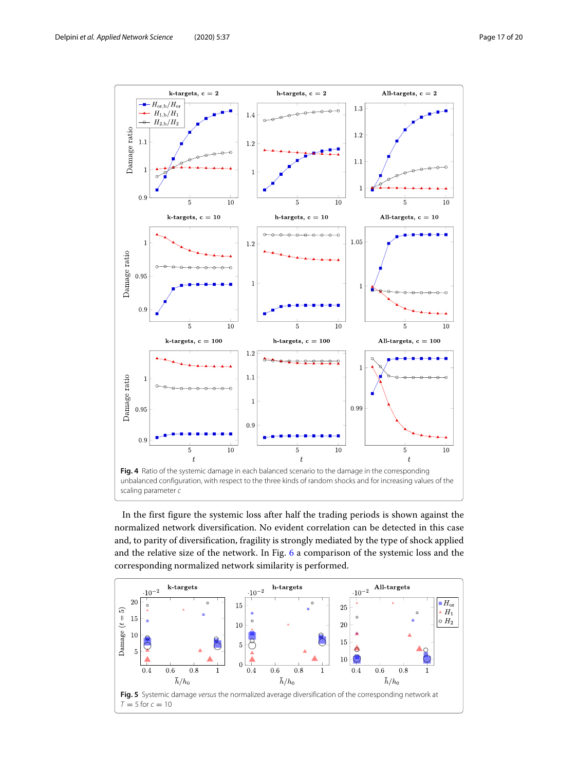

<span id="page-16-0"></span>In the first figure the systemic loss after half the trading periods is shown against the normalized network diversification. No evident correlation can be detected in this case and, to parity of diversification, fragility is strongly mediated by the type of shock applied and the relative size of the network. In Fig. [6](#page-17-0) a comparison of the systemic loss and the corresponding normalized network similarity is performed.

<span id="page-16-1"></span>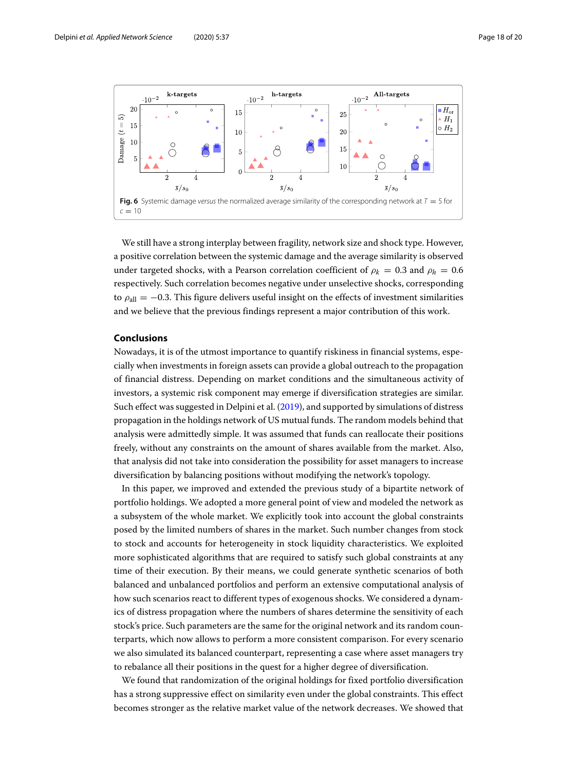

<span id="page-17-0"></span>We still have a strong interplay between fragility, network size and shock type. However, a positive correlation between the systemic damage and the average similarity is observed under targeted shocks, with a Pearson correlation coefficient of  $\rho_k = 0.3$  and  $\rho_h = 0.6$ respectively. Such correlation becomes negative under unselective shocks, corresponding to  $\rho_{all} = -0.3$ . This figure delivers useful insight on the effects of investment similarities and we believe that the previous findings represent a major contribution of this work.

#### **Conclusions**

Nowadays, it is of the utmost importance to quantify riskiness in financial systems, especially when investments in foreign assets can provide a global outreach to the propagation of financial distress. Depending on market conditions and the simultaneous activity of investors, a systemic risk component may emerge if diversification strategies are similar. Such effect was suggested in Delpini et al. [\(2019\)](#page-19-16), and supported by simulations of distress propagation in the holdings network of US mutual funds. The random models behind that analysis were admittedly simple. It was assumed that funds can reallocate their positions freely, without any constraints on the amount of shares available from the market. Also, that analysis did not take into consideration the possibility for asset managers to increase diversification by balancing positions without modifying the network's topology.

In this paper, we improved and extended the previous study of a bipartite network of portfolio holdings. We adopted a more general point of view and modeled the network as a subsystem of the whole market. We explicitly took into account the global constraints posed by the limited numbers of shares in the market. Such number changes from stock to stock and accounts for heterogeneity in stock liquidity characteristics. We exploited more sophisticated algorithms that are required to satisfy such global constraints at any time of their execution. By their means, we could generate synthetic scenarios of both balanced and unbalanced portfolios and perform an extensive computational analysis of how such scenarios react to different types of exogenous shocks. We considered a dynamics of distress propagation where the numbers of shares determine the sensitivity of each stock's price. Such parameters are the same for the original network and its random counterparts, which now allows to perform a more consistent comparison. For every scenario we also simulated its balanced counterpart, representing a case where asset managers try to rebalance all their positions in the quest for a higher degree of diversification.

We found that randomization of the original holdings for fixed portfolio diversification has a strong suppressive effect on similarity even under the global constraints. This effect becomes stronger as the relative market value of the network decreases. We showed that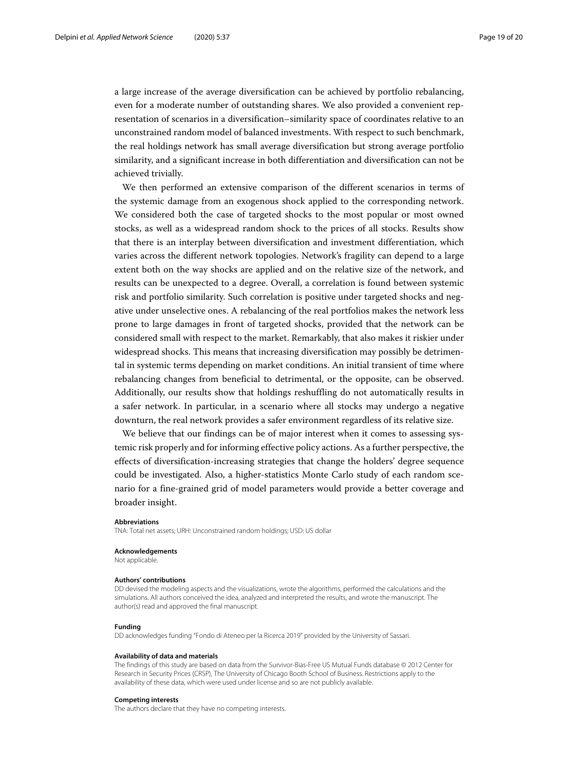a large increase of the average diversification can be achieved by portfolio rebalancing, even for a moderate number of outstanding shares. We also provided a convenient representation of scenarios in a diversification–similarity space of coordinates relative to an unconstrained random model of balanced investments. With respect to such benchmark, the real holdings network has small average diversification but strong average portfolio similarity, and a significant increase in both differentiation and diversification can not be achieved trivially.

We then performed an extensive comparison of the different scenarios in terms of the systemic damage from an exogenous shock applied to the corresponding network. We considered both the case of targeted shocks to the most popular or most owned stocks, as well as a widespread random shock to the prices of all stocks. Results show that there is an interplay between diversification and investment differentiation, which varies across the different network topologies. Network's fragility can depend to a large extent both on the way shocks are applied and on the relative size of the network, and results can be unexpected to a degree. Overall, a correlation is found between systemic risk and portfolio similarity. Such correlation is positive under targeted shocks and negative under unselective ones. A rebalancing of the real portfolios makes the network less prone to large damages in front of targeted shocks, provided that the network can be considered small with respect to the market. Remarkably, that also makes it riskier under widespread shocks. This means that increasing diversification may possibly be detrimental in systemic terms depending on market conditions. An initial transient of time where rebalancing changes from beneficial to detrimental, or the opposite, can be observed. Additionally, our results show that holdings reshuffling do not automatically results in a safer network. In particular, in a scenario where all stocks may undergo a negative downturn, the real network provides a safer environment regardless of its relative size.

We believe that our findings can be of major interest when it comes to assessing systemic risk properly and for informing effective policy actions. As a further perspective, the effects of diversification-increasing strategies that change the holders' degree sequence could be investigated. Also, a higher-statistics Monte Carlo study of each random scenario for a fine-grained grid of model parameters would provide a better coverage and broader insight.

#### **Abbreviations**

TNA: Total net assets; URH: Unconstrained random holdings; USD: US dollar

#### **Acknowledgements**

Not applicable.

#### **Authors' contributions**

DD devised the modeling aspects and the visualizations, wrote the algorithms, performed the calculations and the simulations. All authors conceived the idea, analyzed and interpreted the results, and wrote the manuscript. The author(s) read and approved the final manuscript.

#### **Funding**

DD acknowledges funding "Fondo di Ateneo per la Ricerca 2019" provided by the University of Sassari.

#### **Availability of data and materials**

The findings of this study are based on data from the Survivor-Bias-Free US Mutual Funds database © 2012 Center for Research in Security Prices (CRSP), The University of Chicago Booth School of Business. Restrictions apply to the availability of these data, which were used under license and so are not publicly available.

#### **Competing interests**

The authors declare that they have no competing interests.